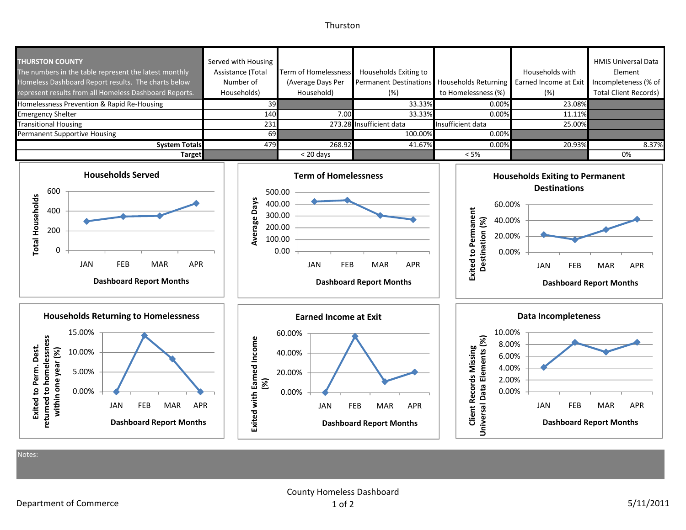## Thurston



Notes:

County Homeless Dashboard 1 of 2 5/11/2011